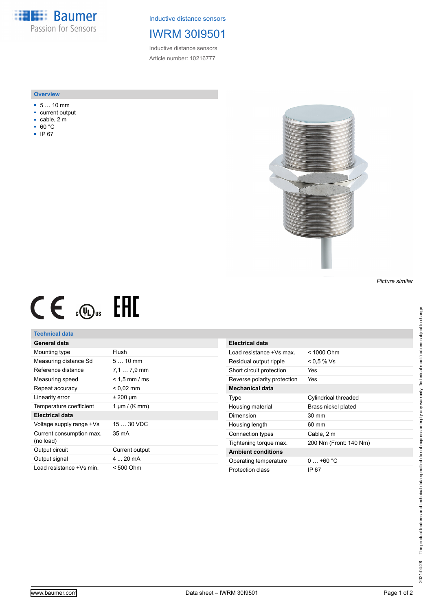**Baumer** Passion for Sensors

Inductive distance sensors

### IWRM 30I9501

Inductive distance sensors Article number: 10216777

#### **Overview**

- 5 … 10 mm
- current output
- cable, 2 m
- 60 °C
- IP 67



*Picture similar*

# $CE \mathcal{L}$  .  $\mathbb{G}$ .

#### **Technical data**

#### **General data**

| Mounting type                         | Flush              |
|---------------------------------------|--------------------|
| Measuring distance Sd                 | $510$ mm           |
| Reference distance                    | $7.17.9$ mm        |
| Measuring speed                       | $< 1.5$ mm / ms    |
| Repeat accuracy                       | $< 0.02$ mm        |
| Linearity error                       | $±$ 200 µm         |
| Temperature coefficient               | 1 $\mu$ m / (K mm) |
| Electrical data                       |                    |
| Voltage supply range +Vs              | $1530$ VDC         |
| Current consumption max.<br>(no load) | 35 mA              |
| Output circuit                        | Current output     |
| Output signal                         | $4 \dots 20$ mA    |
|                                       |                    |

| Electrical data             |                        |
|-----------------------------|------------------------|
| Load resistance +Vs max     | $< 1000$ Ohm           |
| Residual output ripple      | < 0.5 % Vs             |
| Short circuit protection    | Yes                    |
| Reverse polarity protection | Yes                    |
| Mechanical data             |                        |
| Type                        | Cylindrical threaded   |
| Housing material            | Brass nickel plated    |
| Dimension                   | 30 mm                  |
| Housing length              | 60 mm                  |
| Connection types            | Cable, 2 m             |
| Tightening torque max.      | 200 Nm (Front: 140 Nm) |
| <b>Ambient conditions</b>   |                        |
| Operating temperature       | $0+60 °C$              |
| Protection class            | IP 67                  |